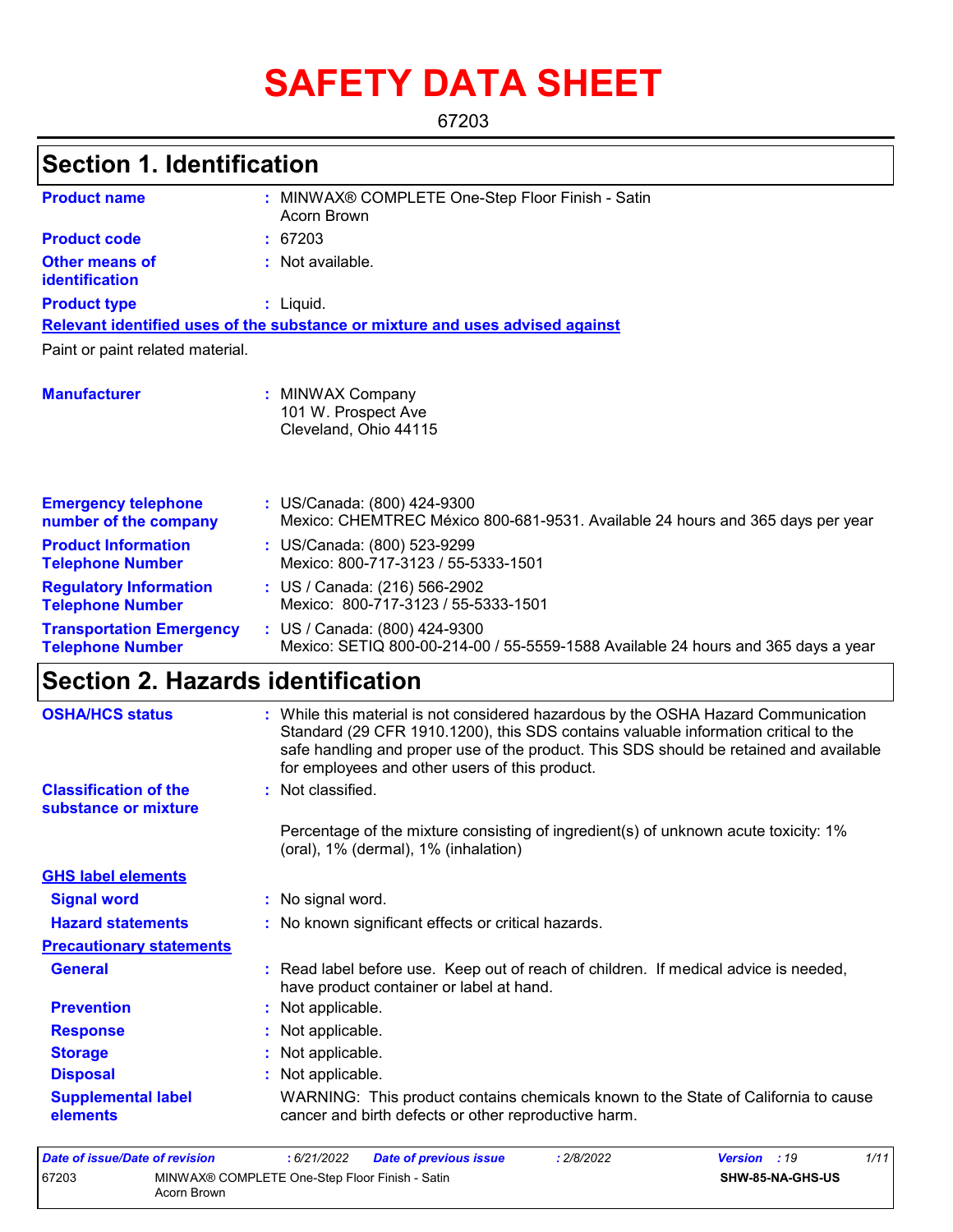# **SAFETY DATA SHEET**

67203

### **Section 1. Identification**

| <b>Product name</b>                                        | : MINWAX® COMPLETE One-Step Floor Finish - Satin<br>Acorn Brown                                                                                                                                                                                                                                                       |
|------------------------------------------------------------|-----------------------------------------------------------------------------------------------------------------------------------------------------------------------------------------------------------------------------------------------------------------------------------------------------------------------|
| <b>Product code</b>                                        | : 67203                                                                                                                                                                                                                                                                                                               |
| <b>Other means of</b><br>identification                    | : Not available.                                                                                                                                                                                                                                                                                                      |
| <b>Product type</b>                                        | $:$ Liquid.                                                                                                                                                                                                                                                                                                           |
|                                                            | Relevant identified uses of the substance or mixture and uses advised against                                                                                                                                                                                                                                         |
| Paint or paint related material.                           |                                                                                                                                                                                                                                                                                                                       |
| <b>Manufacturer</b>                                        | : MINWAX Company<br>101 W. Prospect Ave<br>Cleveland, Ohio 44115                                                                                                                                                                                                                                                      |
| <b>Emergency telephone</b><br>number of the company        | : US/Canada: (800) 424-9300<br>Mexico: CHEMTREC México 800-681-9531. Available 24 hours and 365 days per year                                                                                                                                                                                                         |
| <b>Product Information</b><br><b>Telephone Number</b>      | : US/Canada: (800) 523-9299<br>Mexico: 800-717-3123 / 55-5333-1501                                                                                                                                                                                                                                                    |
| <b>Regulatory Information</b><br><b>Telephone Number</b>   | : US / Canada: (216) 566-2902<br>Mexico: 800-717-3123 / 55-5333-1501                                                                                                                                                                                                                                                  |
| <b>Transportation Emergency</b><br><b>Telephone Number</b> | : US / Canada: (800) 424-9300<br>Mexico: SETIQ 800-00-214-00 / 55-5559-1588 Available 24 hours and 365 days a year                                                                                                                                                                                                    |
| <b>Section 2. Hazards identification</b>                   |                                                                                                                                                                                                                                                                                                                       |
| <b>OSHA/HCS status</b>                                     | : While this material is not considered hazardous by the OSHA Hazard Communication<br>Standard (29 CFR 1910.1200), this SDS contains valuable information critical to the<br>safe handling and proper use of the product. This SDS should be retained and available<br>for employees and other users of this product. |
| <b>Classification of the</b><br>substance or mixture       | : Not classified.                                                                                                                                                                                                                                                                                                     |
|                                                            | Percentage of the mixture consisting of ingredient(s) of unknown acute toxicity: 1%<br>(oral), 1% (dermal), 1% (inhalation)                                                                                                                                                                                           |
| <b>GHS label elements</b>                                  |                                                                                                                                                                                                                                                                                                                       |

**Signal word :** No signal word. **Precautionary statements Prevention :** Not applicable. **Response :** Not applicable. **Storage :** Not applicable. **Disposal Contract Exercise Exercise :** Not applicable. **General :** Read label before use. Keep out of reach of children. If medical advice is needed, have product container or label at hand. **Hazard statements :** No known significant effects or critical hazards. **Supplemental label elements** WARNING: This product contains chemicals known to the State of California to cause cancer and birth defects or other reproductive harm.

| Date of issue/Date of revision |                                                               | : 6/21/2022 | Date of previous issue | : 2/8/2022 | <b>Version</b> : 19 |                         | 1/11 |
|--------------------------------|---------------------------------------------------------------|-------------|------------------------|------------|---------------------|-------------------------|------|
| 67203                          | MINWAX® COMPLETE One-Step Floor Finish - Satin<br>Acorn Brown |             |                        |            |                     | <b>SHW-85-NA-GHS-US</b> |      |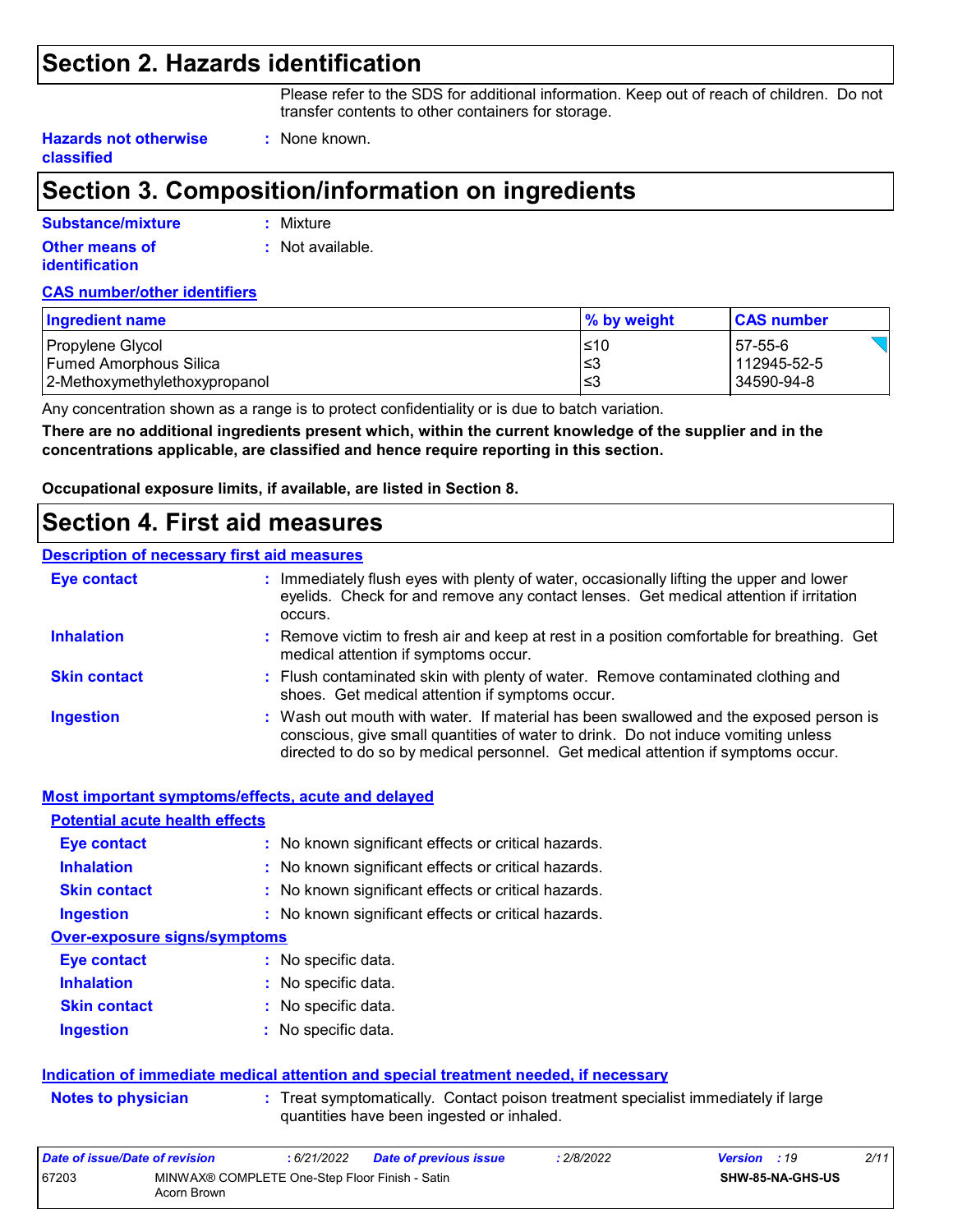### **Section 2. Hazards identification**

Please refer to the SDS for additional information. Keep out of reach of children. Do not transfer contents to other containers for storage.

**Hazards not otherwise classified**

## **Section 3. Composition/information on ingredients**

**:** None known.

| Substance/mixture                       | : Mixture        |
|-----------------------------------------|------------------|
| Other means of<br><b>identification</b> | : Not available. |

#### **CAS number/other identifiers**

| Ingredient name                                         | % by weight | <b>CAS number</b>         |
|---------------------------------------------------------|-------------|---------------------------|
| Propylene Glycol                                        | $≤10$       | 57-55-6                   |
| Fumed Amorphous Silica<br>2-Methoxymethylethoxypropanol | ≤3<br>′≤3   | 112945-52-5<br>34590-94-8 |
|                                                         |             |                           |

Any concentration shown as a range is to protect confidentiality or is due to batch variation.

**There are no additional ingredients present which, within the current knowledge of the supplier and in the concentrations applicable, are classified and hence require reporting in this section.**

**Occupational exposure limits, if available, are listed in Section 8.**

### **Section 4. First aid measures**

#### **Description of necessary first aid measures**

| <b>Eye contact</b>  | : Immediately flush eyes with plenty of water, occasionally lifting the upper and lower<br>eyelids. Check for and remove any contact lenses. Get medical attention if irritation<br>occurs.                                                                    |
|---------------------|----------------------------------------------------------------------------------------------------------------------------------------------------------------------------------------------------------------------------------------------------------------|
| <b>Inhalation</b>   | : Remove victim to fresh air and keep at rest in a position comfortable for breathing. Get<br>medical attention if symptoms occur.                                                                                                                             |
| <b>Skin contact</b> | : Flush contaminated skin with plenty of water. Remove contaminated clothing and<br>shoes. Get medical attention if symptoms occur.                                                                                                                            |
| <b>Ingestion</b>    | : Wash out mouth with water. If material has been swallowed and the exposed person is<br>conscious, give small quantities of water to drink. Do not induce vomiting unless<br>directed to do so by medical personnel. Get medical attention if symptoms occur. |

|                                       | Most important symptoms/effects, acute and delayed                                                                             |
|---------------------------------------|--------------------------------------------------------------------------------------------------------------------------------|
| <b>Potential acute health effects</b> |                                                                                                                                |
| Eye contact                           | : No known significant effects or critical hazards.                                                                            |
| <b>Inhalation</b>                     | : No known significant effects or critical hazards.                                                                            |
| <b>Skin contact</b>                   | : No known significant effects or critical hazards.                                                                            |
| <b>Ingestion</b>                      | : No known significant effects or critical hazards.                                                                            |
| <b>Over-exposure signs/symptoms</b>   |                                                                                                                                |
| <b>Eye contact</b>                    | : No specific data.                                                                                                            |
| <b>Inhalation</b>                     | : No specific data.                                                                                                            |
| <b>Skin contact</b>                   | : No specific data.                                                                                                            |
| <b>Ingestion</b>                      | $:$ No specific data.                                                                                                          |
|                                       | Indication of immediate medical attention and special treatment needed, if necessary                                           |
| <b>Notes to physician</b>             | : Treat symptomatically. Contact poison treatment specialist immediately if large<br>quantities have been ingested or inhaled. |
| Data of incura/Data of variation      | .000000<br>$0.6/01/0000$ Deta of nuclear issue<br>$\frac{1}{2}$                                                                |

| Date of issue/Date of revision |                                                               | 6/21/2022 | <b>Date of previous issue</b> | : 2/8/2022 | <b>Version</b> : 19 |                         | 2/11 |
|--------------------------------|---------------------------------------------------------------|-----------|-------------------------------|------------|---------------------|-------------------------|------|
| 67203                          | MINWAX® COMPLETE One-Step Floor Finish - Satin<br>Acorn Brown |           |                               |            |                     | <b>SHW-85-NA-GHS-US</b> |      |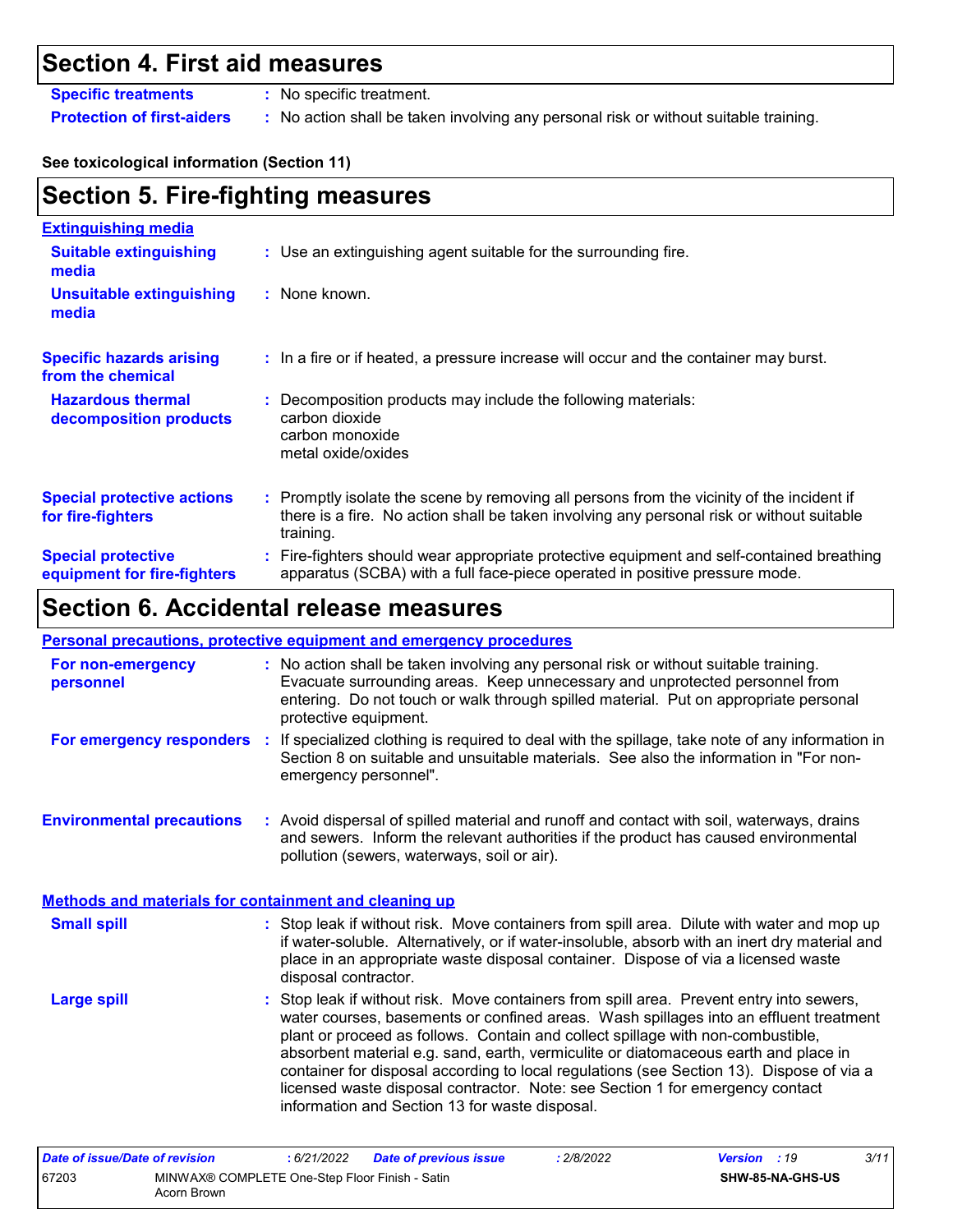### **Section 4. First aid measures**

**Specific treatments :** No specific treatment.

**Protection of first-aiders :** No action shall be taken involving any personal risk or without suitable training.

#### **See toxicological information (Section 11)**

| <b>Section 5. Fire-fighting measures</b>                 |                                                                                                                                                                                                     |  |  |  |
|----------------------------------------------------------|-----------------------------------------------------------------------------------------------------------------------------------------------------------------------------------------------------|--|--|--|
| <b>Extinguishing media</b>                               |                                                                                                                                                                                                     |  |  |  |
| <b>Suitable extinguishing</b><br>media                   | : Use an extinguishing agent suitable for the surrounding fire.                                                                                                                                     |  |  |  |
| <b>Unsuitable extinguishing</b><br>media                 | : None known.                                                                                                                                                                                       |  |  |  |
| <b>Specific hazards arising</b><br>from the chemical     | : In a fire or if heated, a pressure increase will occur and the container may burst.                                                                                                               |  |  |  |
| <b>Hazardous thermal</b><br>decomposition products       | Decomposition products may include the following materials:<br>carbon dioxide<br>carbon monoxide<br>metal oxide/oxides                                                                              |  |  |  |
| <b>Special protective actions</b><br>for fire-fighters   | : Promptly isolate the scene by removing all persons from the vicinity of the incident if<br>there is a fire. No action shall be taken involving any personal risk or without suitable<br>training. |  |  |  |
| <b>Special protective</b><br>equipment for fire-fighters | : Fire-fighters should wear appropriate protective equipment and self-contained breathing<br>apparatus (SCBA) with a full face-piece operated in positive pressure mode.                            |  |  |  |

## **Section 6. Accidental release measures**

#### **Personal precautions, protective equipment and emergency procedures**

| For non-emergency<br>personnel                               |                                                                                                                                                                                                                                 | : No action shall be taken involving any personal risk or without suitable training.<br>Evacuate surrounding areas. Keep unnecessary and unprotected personnel from<br>entering. Do not touch or walk through spilled material. Put on appropriate personal<br>protective equipment.                                                                                                                                                                                                                                                                                                       |  |  |
|--------------------------------------------------------------|---------------------------------------------------------------------------------------------------------------------------------------------------------------------------------------------------------------------------------|--------------------------------------------------------------------------------------------------------------------------------------------------------------------------------------------------------------------------------------------------------------------------------------------------------------------------------------------------------------------------------------------------------------------------------------------------------------------------------------------------------------------------------------------------------------------------------------------|--|--|
| For emergency responders                                     | п.                                                                                                                                                                                                                              | If specialized clothing is required to deal with the spillage, take note of any information in<br>Section 8 on suitable and unsuitable materials. See also the information in "For non-<br>emergency personnel".                                                                                                                                                                                                                                                                                                                                                                           |  |  |
| <b>Environmental precautions</b>                             | : Avoid dispersal of spilled material and runoff and contact with soil, waterways, drains<br>and sewers. Inform the relevant authorities if the product has caused environmental<br>pollution (sewers, waterways, soil or air). |                                                                                                                                                                                                                                                                                                                                                                                                                                                                                                                                                                                            |  |  |
| <b>Methods and materials for containment and cleaning up</b> |                                                                                                                                                                                                                                 |                                                                                                                                                                                                                                                                                                                                                                                                                                                                                                                                                                                            |  |  |
| <b>Small spill</b>                                           |                                                                                                                                                                                                                                 | : Stop leak if without risk. Move containers from spill area. Dilute with water and mop up<br>if water-soluble. Alternatively, or if water-insoluble, absorb with an inert dry material and<br>place in an appropriate waste disposal container. Dispose of via a licensed waste<br>disposal contractor.                                                                                                                                                                                                                                                                                   |  |  |
| <b>Large spill</b>                                           |                                                                                                                                                                                                                                 | : Stop leak if without risk. Move containers from spill area. Prevent entry into sewers,<br>water courses, basements or confined areas. Wash spillages into an effluent treatment<br>plant or proceed as follows. Contain and collect spillage with non-combustible,<br>absorbent material e.g. sand, earth, vermiculite or diatomaceous earth and place in<br>container for disposal according to local regulations (see Section 13). Dispose of via a<br>licensed waste disposal contractor. Note: see Section 1 for emergency contact<br>information and Section 13 for waste disposal. |  |  |

| Date of issue/Date of revision |                                                               | 6/21/2022 | <b>Date of previous issue</b> | : 2/8/2022 | <b>Version</b> : 19 |                         | 3/11 |
|--------------------------------|---------------------------------------------------------------|-----------|-------------------------------|------------|---------------------|-------------------------|------|
| 67203                          | MINWAX® COMPLETE One-Step Floor Finish - Satin<br>Acorn Brown |           |                               |            |                     | <b>SHW-85-NA-GHS-US</b> |      |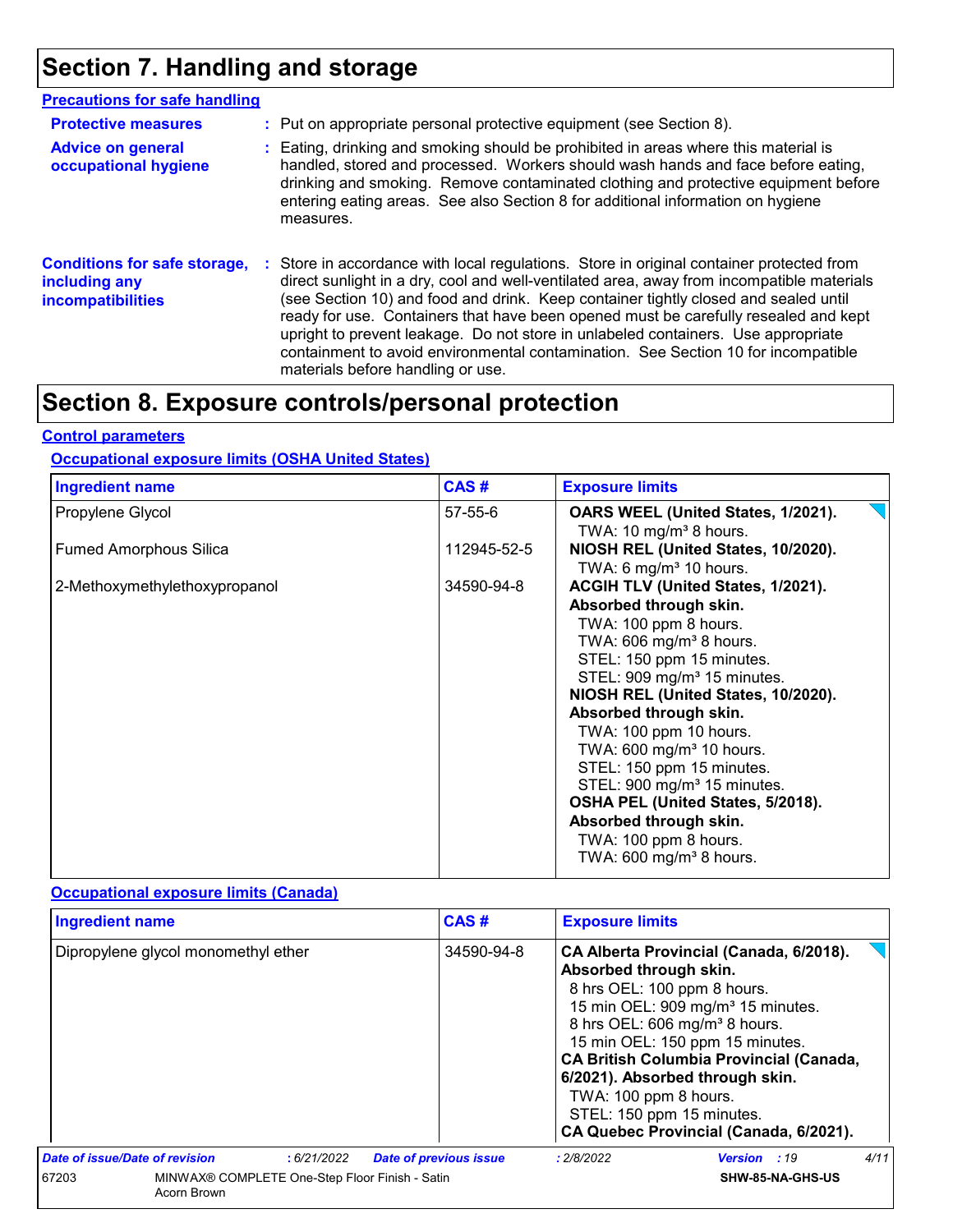## **Section 7. Handling and storage**

| <b>Precautions for safe handling</b>                                             |                                                                                                                                                                                                                                                                                                                                                                                                                                                                                                                                                                                    |
|----------------------------------------------------------------------------------|------------------------------------------------------------------------------------------------------------------------------------------------------------------------------------------------------------------------------------------------------------------------------------------------------------------------------------------------------------------------------------------------------------------------------------------------------------------------------------------------------------------------------------------------------------------------------------|
| <b>Protective measures</b>                                                       | : Put on appropriate personal protective equipment (see Section 8).                                                                                                                                                                                                                                                                                                                                                                                                                                                                                                                |
| <b>Advice on general</b><br>occupational hygiene                                 | : Eating, drinking and smoking should be prohibited in areas where this material is<br>handled, stored and processed. Workers should wash hands and face before eating,<br>drinking and smoking. Remove contaminated clothing and protective equipment before<br>entering eating areas. See also Section 8 for additional information on hygiene<br>measures.                                                                                                                                                                                                                      |
| <b>Conditions for safe storage,</b><br>including any<br><b>incompatibilities</b> | : Store in accordance with local regulations. Store in original container protected from<br>direct sunlight in a dry, cool and well-ventilated area, away from incompatible materials<br>(see Section 10) and food and drink. Keep container tightly closed and sealed until<br>ready for use. Containers that have been opened must be carefully resealed and kept<br>upright to prevent leakage. Do not store in unlabeled containers. Use appropriate<br>containment to avoid environmental contamination. See Section 10 for incompatible<br>materials before handling or use. |

## **Section 8. Exposure controls/personal protection**

#### **Control parameters**

#### **Occupational exposure limits (OSHA United States)**

| <b>Ingredient name</b>        | CAS#          | <b>Exposure limits</b>                  |
|-------------------------------|---------------|-----------------------------------------|
| Propylene Glycol              | $57 - 55 - 6$ | OARS WEEL (United States, 1/2021).      |
|                               |               | TWA: 10 mg/m <sup>3</sup> 8 hours.      |
| <b>Fumed Amorphous Silica</b> | 112945-52-5   | NIOSH REL (United States, 10/2020).     |
|                               |               | TWA: 6 mg/m <sup>3</sup> 10 hours.      |
| 2-Methoxymethylethoxypropanol | 34590-94-8    | ACGIH TLV (United States, 1/2021).      |
|                               |               | Absorbed through skin.                  |
|                               |               | TWA: 100 ppm 8 hours.                   |
|                               |               | TWA: $606$ mg/m <sup>3</sup> 8 hours.   |
|                               |               | STEL: 150 ppm 15 minutes.               |
|                               |               | STEL: 909 mg/m <sup>3</sup> 15 minutes. |
|                               |               | NIOSH REL (United States, 10/2020).     |
|                               |               | Absorbed through skin.                  |
|                               |               | TWA: 100 ppm 10 hours.                  |
|                               |               | TWA: $600 \text{ mg/m}^3$ 10 hours.     |
|                               |               | STEL: 150 ppm 15 minutes.               |
|                               |               | STEL: 900 mg/m <sup>3</sup> 15 minutes. |
|                               |               | OSHA PEL (United States, 5/2018).       |
|                               |               | Absorbed through skin.                  |
|                               |               | TWA: 100 ppm 8 hours.                   |
|                               |               | TWA: $600 \text{ mg/m}^3$ 8 hours.      |
|                               |               |                                         |

#### **Occupational exposure limits (Canada)**

| <b>Ingredient name</b>              |                                                | CAS#                          | <b>Exposure limits</b>                          |                                                                                                                                                                                                                                                                                                                                                                     |      |
|-------------------------------------|------------------------------------------------|-------------------------------|-------------------------------------------------|---------------------------------------------------------------------------------------------------------------------------------------------------------------------------------------------------------------------------------------------------------------------------------------------------------------------------------------------------------------------|------|
| Dipropylene glycol monomethyl ether |                                                | 34590-94-8                    | Absorbed through skin.<br>TWA: 100 ppm 8 hours. | CA Alberta Provincial (Canada, 6/2018).<br>8 hrs OEL: 100 ppm 8 hours.<br>15 min OEL: 909 mg/m <sup>3</sup> 15 minutes.<br>8 hrs OEL: 606 mg/m <sup>3</sup> 8 hours.<br>15 min OEL: 150 ppm 15 minutes.<br><b>CA British Columbia Provincial (Canada,</b><br>6/2021). Absorbed through skin.<br>STEL: 150 ppm 15 minutes.<br>CA Quebec Provincial (Canada, 6/2021). |      |
| Date of issue/Date of revision      | :6/21/2022                                     | <b>Date of previous issue</b> | : 2/8/2022                                      | <b>Version</b> : 19                                                                                                                                                                                                                                                                                                                                                 | 4/11 |
| 67203<br>Acorn Brown                | MINWAX® COMPLETE One-Step Floor Finish - Satin |                               |                                                 | SHW-85-NA-GHS-US                                                                                                                                                                                                                                                                                                                                                    |      |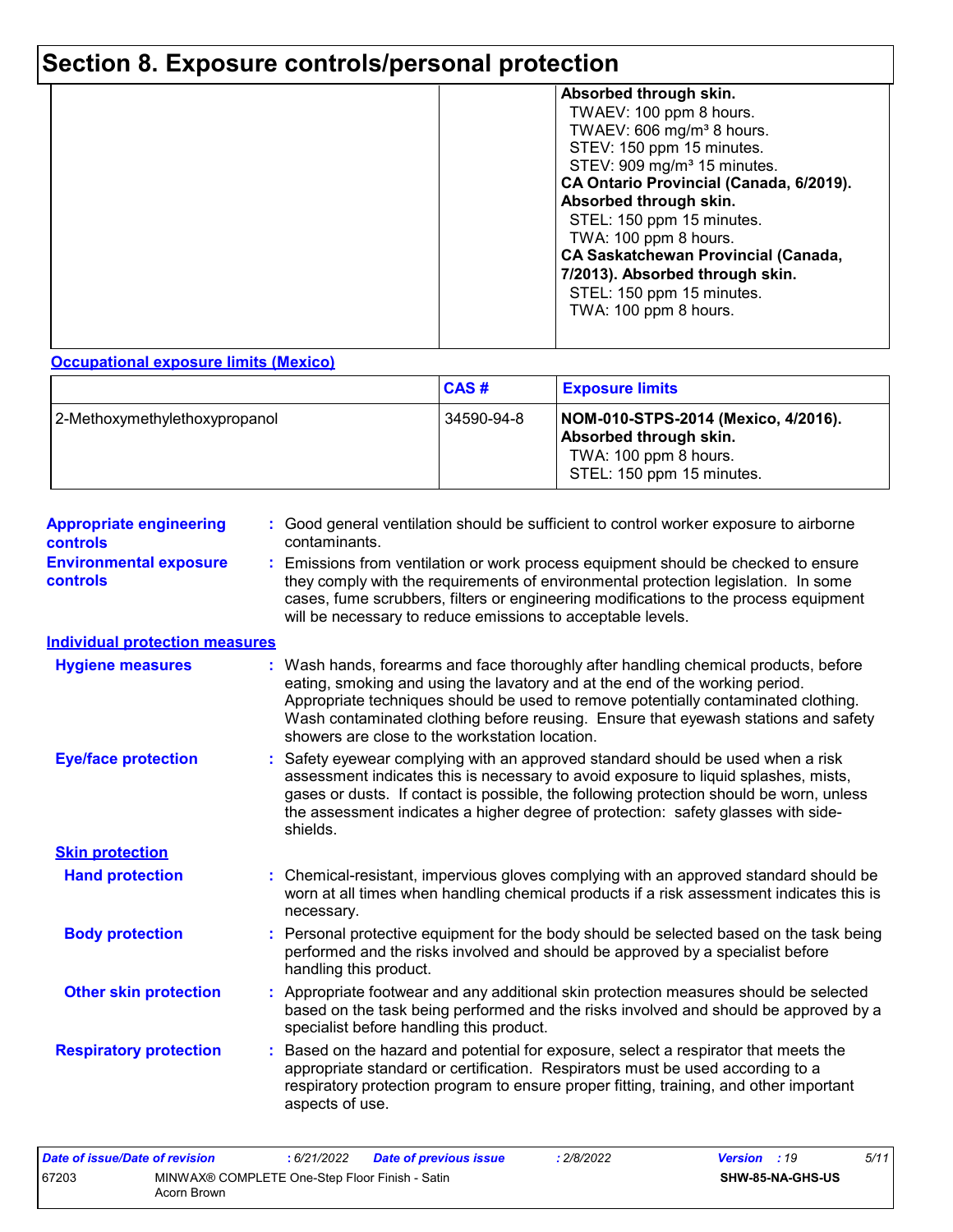## **Section 8. Exposure controls/personal protection**

| Absorbed through skin.                     |
|--------------------------------------------|
| TWAEV: 100 ppm 8 hours.                    |
|                                            |
| TWAEV: 606 mg/m <sup>3</sup> 8 hours.      |
| STEV: 150 ppm 15 minutes.                  |
| STEV: 909 mg/m <sup>3</sup> 15 minutes.    |
| CA Ontario Provincial (Canada, 6/2019).    |
| Absorbed through skin.                     |
| STEL: 150 ppm 15 minutes.                  |
| TWA: 100 ppm 8 hours.                      |
| <b>CA Saskatchewan Provincial (Canada,</b> |
|                                            |
| 7/2013). Absorbed through skin.            |
| STEL: 150 ppm 15 minutes.                  |
| TWA: 100 ppm 8 hours.                      |
|                                            |
|                                            |

#### **Occupational exposure limits (Mexico)**

|                               | CAS#       | <b>Exposure limits</b>                                                                                              |
|-------------------------------|------------|---------------------------------------------------------------------------------------------------------------------|
| 2-Methoxymethylethoxypropanol | 34590-94-8 | NOM-010-STPS-2014 (Mexico, 4/2016).<br>Absorbed through skin.<br>TWA: 100 ppm 8 hours.<br>STEL: 150 ppm 15 minutes. |

| <b>Appropriate engineering</b><br><b>controls</b> | : Good general ventilation should be sufficient to control worker exposure to airborne<br>contaminants.                                                                                                                                                                                                                                                                                         |
|---------------------------------------------------|-------------------------------------------------------------------------------------------------------------------------------------------------------------------------------------------------------------------------------------------------------------------------------------------------------------------------------------------------------------------------------------------------|
| <b>Environmental exposure</b><br><b>controls</b>  | Emissions from ventilation or work process equipment should be checked to ensure<br>they comply with the requirements of environmental protection legislation. In some<br>cases, fume scrubbers, filters or engineering modifications to the process equipment<br>will be necessary to reduce emissions to acceptable levels.                                                                   |
| <b>Individual protection measures</b>             |                                                                                                                                                                                                                                                                                                                                                                                                 |
| <b>Hygiene measures</b>                           | Wash hands, forearms and face thoroughly after handling chemical products, before<br>eating, smoking and using the lavatory and at the end of the working period.<br>Appropriate techniques should be used to remove potentially contaminated clothing.<br>Wash contaminated clothing before reusing. Ensure that eyewash stations and safety<br>showers are close to the workstation location. |
| <b>Eye/face protection</b>                        | Safety eyewear complying with an approved standard should be used when a risk<br>assessment indicates this is necessary to avoid exposure to liquid splashes, mists,<br>gases or dusts. If contact is possible, the following protection should be worn, unless<br>the assessment indicates a higher degree of protection: safety glasses with side-<br>shields.                                |
| <b>Skin protection</b>                            |                                                                                                                                                                                                                                                                                                                                                                                                 |
| <b>Hand protection</b>                            | Chemical-resistant, impervious gloves complying with an approved standard should be<br>worn at all times when handling chemical products if a risk assessment indicates this is<br>necessary.                                                                                                                                                                                                   |
| <b>Body protection</b>                            | Personal protective equipment for the body should be selected based on the task being<br>performed and the risks involved and should be approved by a specialist before<br>handling this product.                                                                                                                                                                                               |
| <b>Other skin protection</b>                      | Appropriate footwear and any additional skin protection measures should be selected<br>based on the task being performed and the risks involved and should be approved by a<br>specialist before handling this product.                                                                                                                                                                         |
| <b>Respiratory protection</b>                     | Based on the hazard and potential for exposure, select a respirator that meets the<br>appropriate standard or certification. Respirators must be used according to a<br>respiratory protection program to ensure proper fitting, training, and other important<br>aspects of use.                                                                                                               |

| Date of issue/Date of revision |                                                               | : 6/21/2022 | <b>Date of previous issue</b> | : 2/8/2022 | <b>Version</b> : 19 |                         | 5/11 |
|--------------------------------|---------------------------------------------------------------|-------------|-------------------------------|------------|---------------------|-------------------------|------|
| 67203                          | MINWAX® COMPLETE One-Step Floor Finish - Satin<br>Acorn Brown |             |                               |            |                     | <b>SHW-85-NA-GHS-US</b> |      |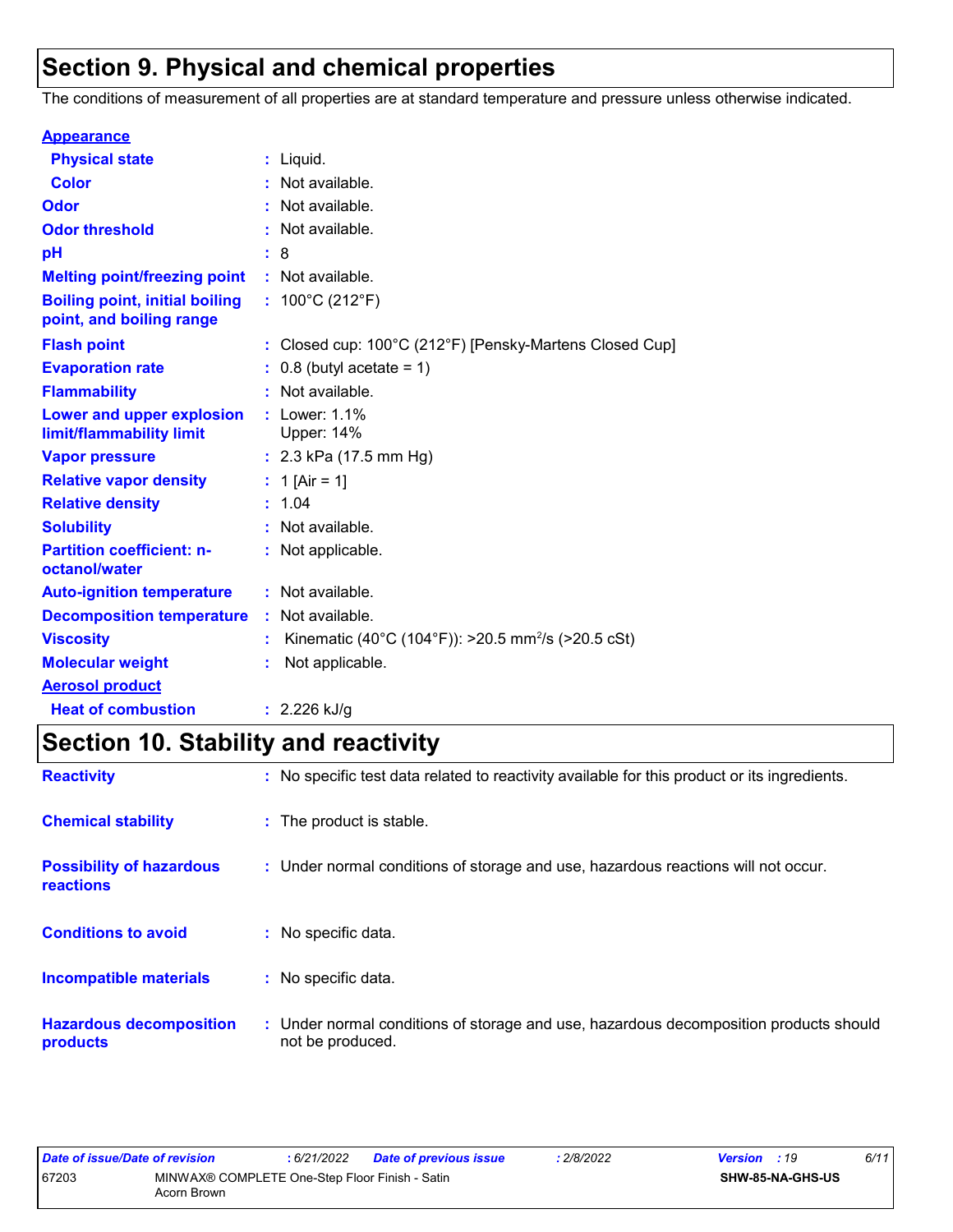## **Section 9. Physical and chemical properties**

The conditions of measurement of all properties are at standard temperature and pressure unless otherwise indicated.

| <b>Appearance</b>                                                 |                                                                |
|-------------------------------------------------------------------|----------------------------------------------------------------|
| <b>Physical state</b>                                             | $:$ Liquid.                                                    |
| <b>Color</b>                                                      | Not available.                                                 |
| Odor                                                              | Not available.                                                 |
| <b>Odor threshold</b>                                             | Not available.                                                 |
| pH                                                                | - 8                                                            |
| <b>Melting point/freezing point</b>                               | : Not available.                                               |
| <b>Boiling point, initial boiling</b><br>point, and boiling range | : $100^{\circ}$ C (212 $^{\circ}$ F)                           |
| <b>Flash point</b>                                                | : Closed cup: 100°C (212°F) [Pensky-Martens Closed Cup]        |
| <b>Evaporation rate</b>                                           | $0.8$ (butyl acetate = 1)                                      |
| <b>Flammability</b>                                               | Not available.                                                 |
| Lower and upper explosion<br>limit/flammability limit             | : Lower: 1.1%<br>Upper: 14%                                    |
| <b>Vapor pressure</b>                                             | : $2.3$ kPa (17.5 mm Hg)                                       |
| <b>Relative vapor density</b>                                     | : 1 [Air = 1]                                                  |
| <b>Relative density</b>                                           | : 1.04                                                         |
| <b>Solubility</b>                                                 | Not available.                                                 |
| <b>Partition coefficient: n-</b><br>octanol/water                 | : Not applicable.                                              |
| <b>Auto-ignition temperature</b>                                  | : Not available.                                               |
| <b>Decomposition temperature</b>                                  | : Not available.                                               |
| <b>Viscosity</b>                                                  | Kinematic (40°C (104°F)): >20.5 mm <sup>2</sup> /s (>20.5 cSt) |
| <b>Molecular weight</b>                                           | Not applicable.                                                |
| <b>Aerosol product</b>                                            |                                                                |
| <b>Heat of combustion</b>                                         | $: 2.226$ kJ/g                                                 |

## **Section 10. Stability and reactivity**

| <b>Reactivity</b>                            | : No specific test data related to reactivity available for this product or its ingredients.              |
|----------------------------------------------|-----------------------------------------------------------------------------------------------------------|
| <b>Chemical stability</b>                    | : The product is stable.                                                                                  |
| <b>Possibility of hazardous</b><br>reactions | : Under normal conditions of storage and use, hazardous reactions will not occur.                         |
| <b>Conditions to avoid</b>                   | : No specific data.                                                                                       |
| <b>Incompatible materials</b>                | : No specific data.                                                                                       |
| <b>Hazardous decomposition</b><br>products   | : Under normal conditions of storage and use, hazardous decomposition products should<br>not be produced. |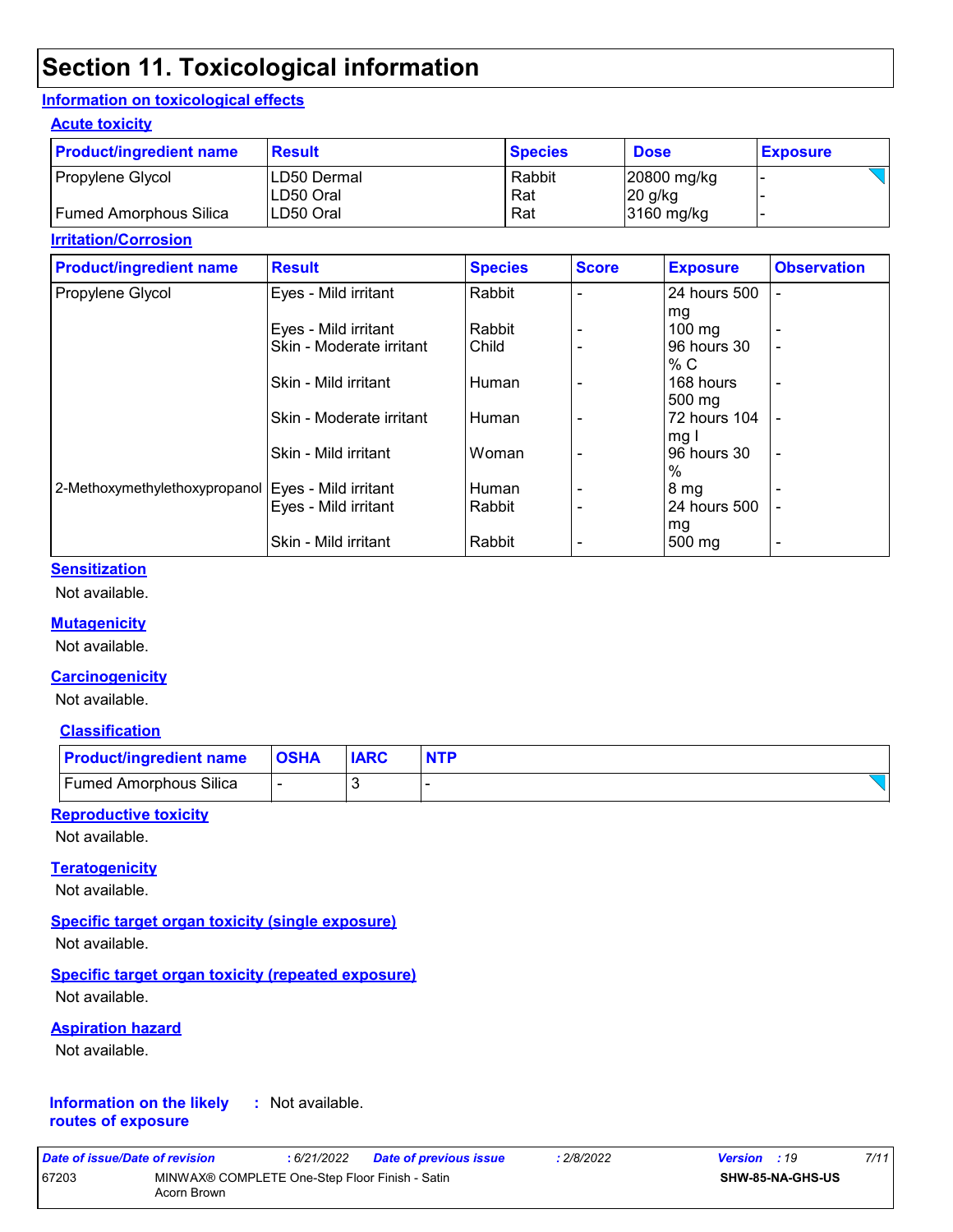## **Section 11. Toxicological information**

#### **Information on toxicological effects**

#### **Acute toxicity**

| <b>Product/ingredient name</b> | <b>Result</b>              | <b>Species</b> | <b>Dose</b>              | <b>Exposure</b> |
|--------------------------------|----------------------------|----------------|--------------------------|-----------------|
| Propylene Glycol               | ILD50 Dermal<br>ILD50 Oral | Rabbit<br>Rat  | 20800 mg/kg<br>$20$ g/kg |                 |
| Fumed Amorphous Silica         | ILD50 Oral                 | Rat            | 3160 mg/kg               |                 |

#### **Irritation/Corrosion**

| <b>Product/ingredient name</b>                       | <b>Result</b>            | <b>Species</b> | <b>Score</b> | <b>Exposure</b>  | <b>Observation</b>       |
|------------------------------------------------------|--------------------------|----------------|--------------|------------------|--------------------------|
| Propylene Glycol                                     | Eyes - Mild irritant     | Rabbit         |              | 24 hours 500     |                          |
|                                                      |                          |                |              | mg               |                          |
|                                                      | Eyes - Mild irritant     | Rabbit         |              | $100 \text{ mg}$ |                          |
|                                                      | Skin - Moderate irritant | Child          |              | 96 hours 30      |                          |
|                                                      |                          |                |              | % C              |                          |
|                                                      | Skin - Mild irritant     | Human          |              | 168 hours        | -                        |
|                                                      |                          |                |              | 500 mg           |                          |
|                                                      | Skin - Moderate irritant | Human          |              | 72 hours 104     |                          |
|                                                      |                          |                |              | mg I             |                          |
|                                                      | Skin - Mild irritant     | Woman          |              | 96 hours 30      | $\overline{\phantom{a}}$ |
|                                                      |                          |                |              | $\%$             |                          |
| 2-Methoxymethylethoxypropanol   Eyes - Mild irritant |                          | Human          |              | 8 mg             |                          |
|                                                      | Eyes - Mild irritant     | Rabbit         |              | 24 hours 500     |                          |
|                                                      |                          |                |              | mg               |                          |
|                                                      | Skin - Mild irritant     | Rabbit         |              | 500 mg           |                          |

#### **Sensitization**

Not available.

#### **Mutagenicity**

Not available.

#### **Carcinogenicity**

Not available.

#### **Classification**

| <b>Product/ingredient name OSHA</b> | <b>IARC</b> | <b>NTP</b> |
|-------------------------------------|-------------|------------|
| <b>Fumed Amorphous Silica</b>       |             |            |

#### **Reproductive toxicity**

Not available.

#### **Teratogenicity**

Not available.

#### **Specific target organ toxicity (single exposure)**

Not available.

#### **Specific target organ toxicity (repeated exposure)**

Not available.

#### **Aspiration hazard**

Not available.

#### **Information on the likely routes of exposure :** Not available.

| Date of issue/Date of revision |                                                               | : 6/21/2022 | <b>Date of previous issue</b> | : 2/8/2022 | <b>Version</b> : 19 |                         | 7/11 |
|--------------------------------|---------------------------------------------------------------|-------------|-------------------------------|------------|---------------------|-------------------------|------|
| 67203                          | MINWAX® COMPLETE One-Step Floor Finish - Satin<br>Acorn Brown |             |                               |            |                     | <b>SHW-85-NA-GHS-US</b> |      |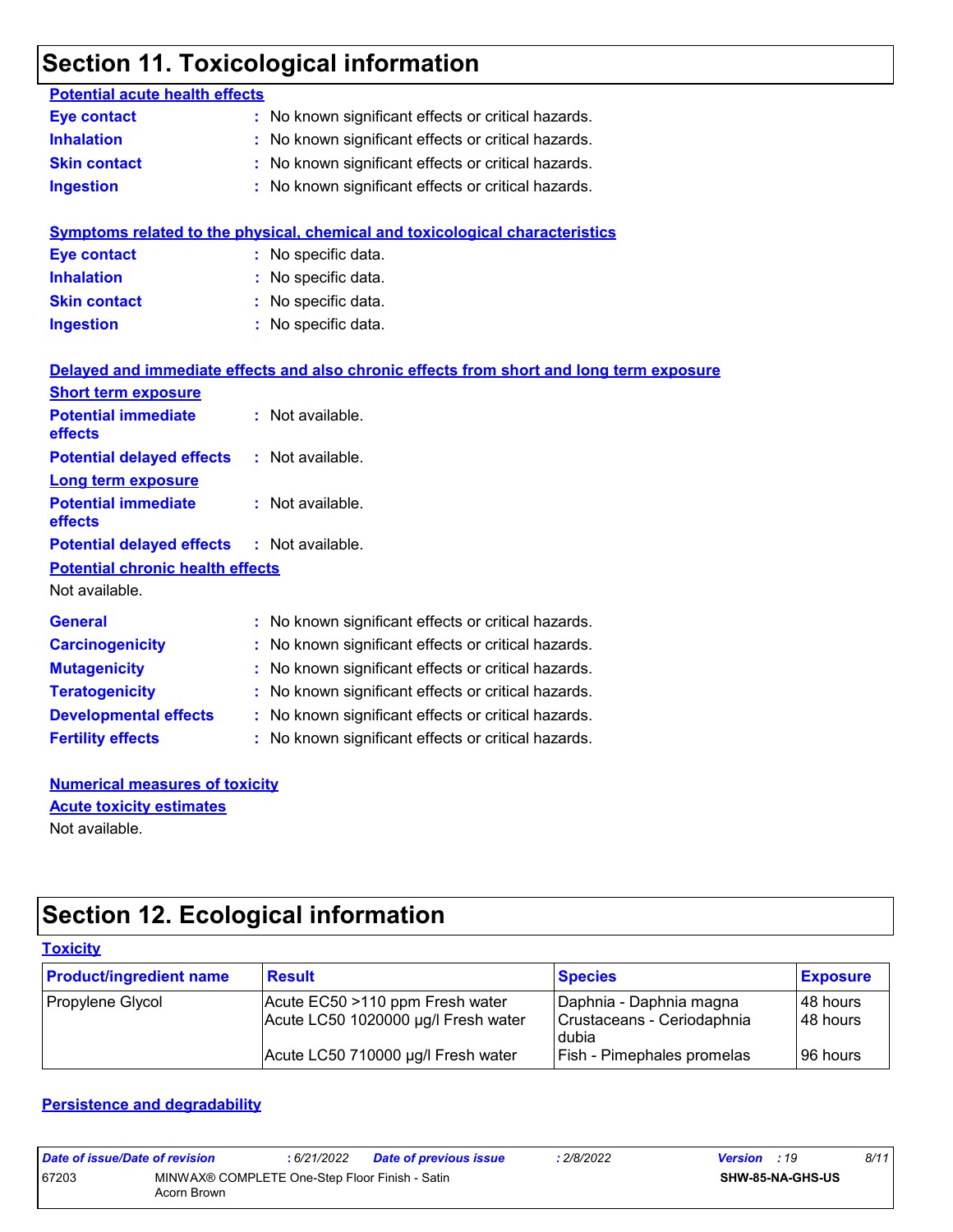## **Section 11. Toxicological information**

| <b>Potential acute health effects</b>   |                                                                                          |
|-----------------------------------------|------------------------------------------------------------------------------------------|
| <b>Eye contact</b>                      | : No known significant effects or critical hazards.                                      |
| <b>Inhalation</b>                       | No known significant effects or critical hazards.                                        |
| <b>Skin contact</b>                     | No known significant effects or critical hazards.                                        |
| <b>Ingestion</b>                        | No known significant effects or critical hazards.                                        |
|                                         |                                                                                          |
|                                         | Symptoms related to the physical, chemical and toxicological characteristics             |
| <b>Eye contact</b>                      | : No specific data.                                                                      |
| <b>Inhalation</b>                       | No specific data.                                                                        |
| <b>Skin contact</b>                     | No specific data.                                                                        |
| <b>Ingestion</b>                        | No specific data.                                                                        |
|                                         |                                                                                          |
|                                         | Delayed and immediate effects and also chronic effects from short and long term exposure |
| <b>Short term exposure</b>              |                                                                                          |
| <b>Potential immediate</b>              | : Not available.                                                                         |
| effects                                 |                                                                                          |
| <b>Potential delayed effects</b>        | : Not available.                                                                         |
| <b>Long term exposure</b>               |                                                                                          |
| <b>Potential immediate</b><br>effects   | : Not available.                                                                         |
| <b>Potential delayed effects</b>        | : Not available.                                                                         |
| <b>Potential chronic health effects</b> |                                                                                          |
| Not available.                          |                                                                                          |
|                                         |                                                                                          |
| <b>General</b>                          | : No known significant effects or critical hazards.                                      |
| <b>Carcinogenicity</b>                  | No known significant effects or critical hazards.                                        |
| <b>Mutagenicity</b>                     | No known significant effects or critical hazards.                                        |
| <b>Teratogenicity</b>                   | No known significant effects or critical hazards.                                        |
| <b>Developmental effects</b>            | No known significant effects or critical hazards.                                        |
| <b>Fertility effects</b>                | : No known significant effects or critical hazards.                                      |
|                                         |                                                                                          |

**Numerical measures of toxicity** Not available. **Acute toxicity estimates**

## **Section 12. Ecological information**

| <b>Toxicity</b>                |                                                                        |                                                                |                        |  |  |  |
|--------------------------------|------------------------------------------------------------------------|----------------------------------------------------------------|------------------------|--|--|--|
| <b>Product/ingredient name</b> | <b>Result</b>                                                          | <b>Species</b>                                                 | <b>Exposure</b>        |  |  |  |
| Propylene Glycol               | Acute EC50 >110 ppm Fresh water<br>Acute LC50 1020000 µg/l Fresh water | Daphnia - Daphnia magna<br>Crustaceans - Ceriodaphnia<br>dubia | I48 hours<br>I48 hours |  |  |  |
|                                | Acute LC50 710000 µg/l Fresh water                                     | <b>Fish - Pimephales promelas</b>                              | 96 hours               |  |  |  |

#### **Persistence and degradability**

| Date of issue/Date of revision |                                                               | : 6/21/2022 | Date of previous issue | : 2/8/2022 | <b>Version</b> : 19 |                         | 8/11 |
|--------------------------------|---------------------------------------------------------------|-------------|------------------------|------------|---------------------|-------------------------|------|
| 67203                          | MINWAX® COMPLETE One-Step Floor Finish - Satin<br>Acorn Brown |             |                        |            |                     | <b>SHW-85-NA-GHS-US</b> |      |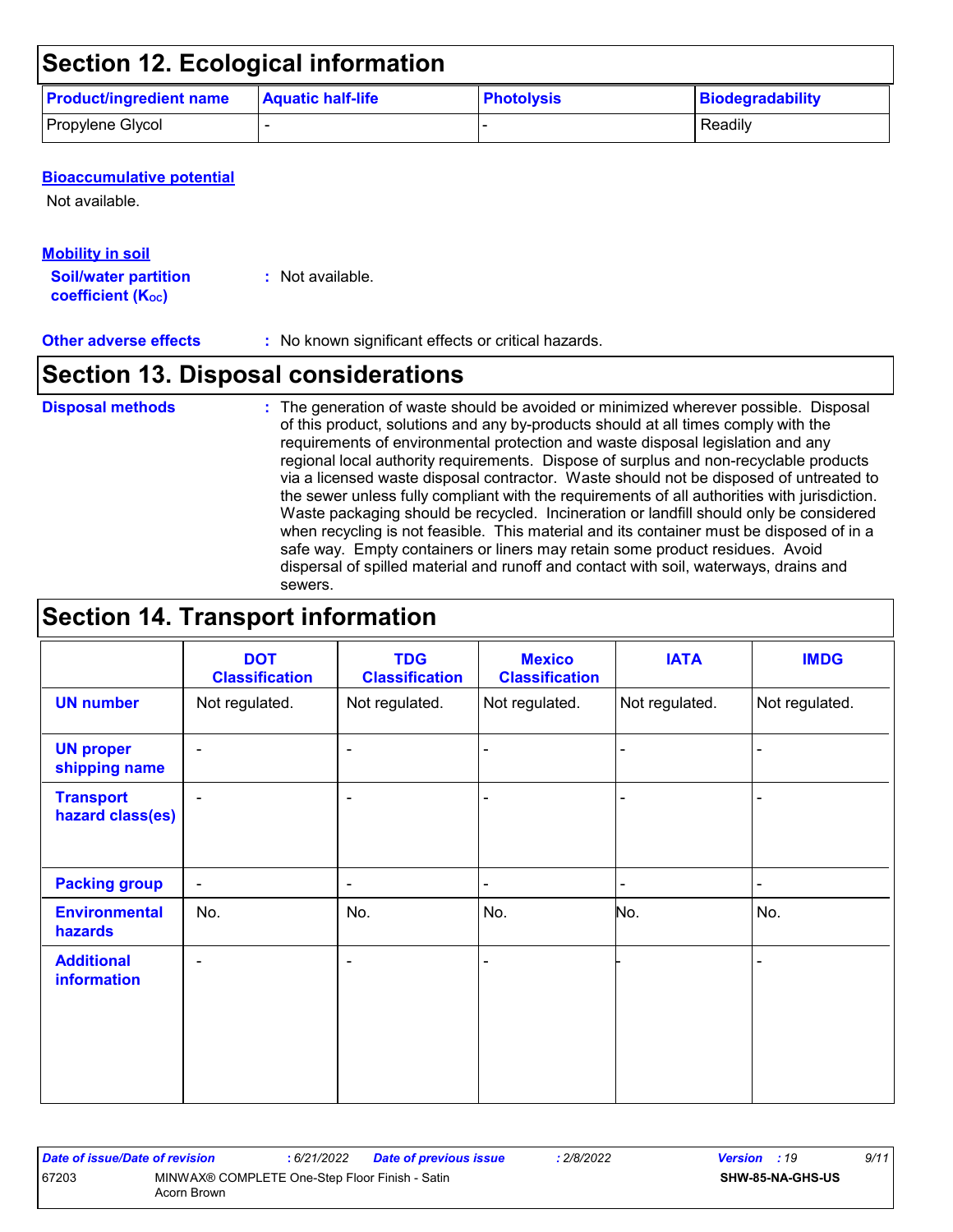## **Section 12. Ecological information**

| <b>Product/ingredient name</b> | <b>Aquatic half-life</b> | <b>Photolysis</b> | Biodegradability |
|--------------------------------|--------------------------|-------------------|------------------|
| Propylene Glycol               |                          |                   | Readily          |

#### **Bioaccumulative potential**

Not available.

#### **Mobility in soil**

**Soil/water partition coefficient (Koc)** 

**:** Not available.

#### **Other adverse effects** : No known significant effects or critical hazards.

### **Section 13. Disposal considerations**

#### **Disposal methods :**

The generation of waste should be avoided or minimized wherever possible. Disposal of this product, solutions and any by-products should at all times comply with the requirements of environmental protection and waste disposal legislation and any regional local authority requirements. Dispose of surplus and non-recyclable products via a licensed waste disposal contractor. Waste should not be disposed of untreated to the sewer unless fully compliant with the requirements of all authorities with jurisdiction. Waste packaging should be recycled. Incineration or landfill should only be considered when recycling is not feasible. This material and its container must be disposed of in a safe way. Empty containers or liners may retain some product residues. Avoid dispersal of spilled material and runoff and contact with soil, waterways, drains and sewers.

### **Section 14. Transport information**

|                                      | <b>DOT</b><br><b>Classification</b> | <b>TDG</b><br><b>Classification</b> | <b>Mexico</b><br><b>Classification</b> | <b>IATA</b>    | <b>IMDG</b>    |
|--------------------------------------|-------------------------------------|-------------------------------------|----------------------------------------|----------------|----------------|
| <b>UN number</b>                     | Not regulated.                      | Not regulated.                      | Not regulated.                         | Not regulated. | Not regulated. |
| <b>UN proper</b><br>shipping name    | $\blacksquare$                      | $\blacksquare$                      | $\blacksquare$                         |                |                |
| <b>Transport</b><br>hazard class(es) | $\blacksquare$                      | $\overline{\phantom{a}}$            |                                        |                |                |
| <b>Packing group</b>                 | $\blacksquare$                      | $\overline{\phantom{a}}$            | $\blacksquare$                         | ۰              | $\blacksquare$ |
| <b>Environmental</b><br>hazards      | No.                                 | No.                                 | No.                                    | No.            | No.            |
| <b>Additional</b><br>information     | $\blacksquare$                      | $\overline{\phantom{0}}$            |                                        |                |                |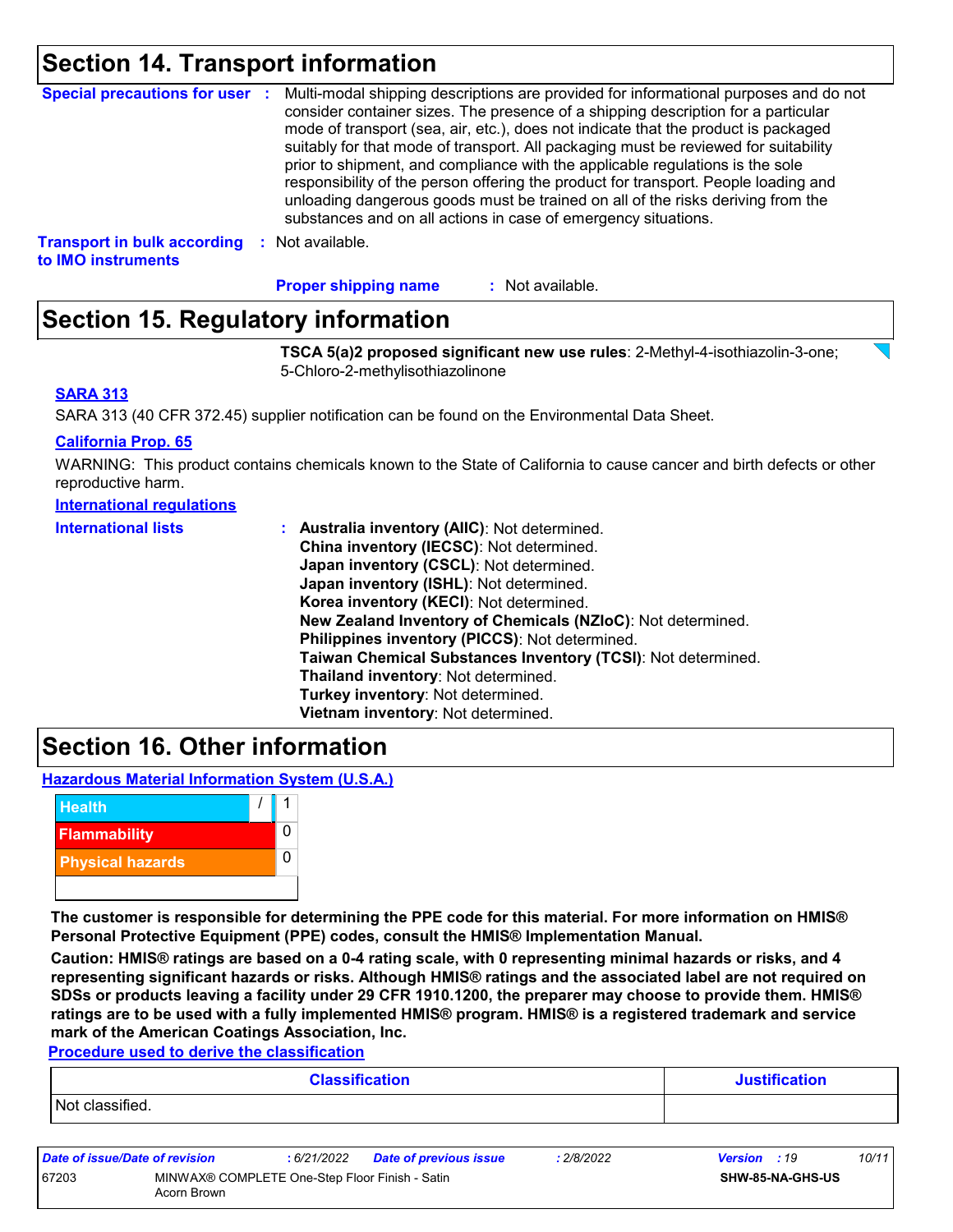### **Section 14. Transport information**

| <b>Special precautions for user :</b>                    | Multi-modal shipping descriptions are provided for informational purposes and do not<br>consider container sizes. The presence of a shipping description for a particular<br>mode of transport (sea, air, etc.), does not indicate that the product is packaged<br>suitably for that mode of transport. All packaging must be reviewed for suitability<br>prior to shipment, and compliance with the applicable regulations is the sole<br>responsibility of the person offering the product for transport. People loading and<br>unloading dangerous goods must be trained on all of the risks deriving from the<br>substances and on all actions in case of emergency situations. |
|----------------------------------------------------------|-------------------------------------------------------------------------------------------------------------------------------------------------------------------------------------------------------------------------------------------------------------------------------------------------------------------------------------------------------------------------------------------------------------------------------------------------------------------------------------------------------------------------------------------------------------------------------------------------------------------------------------------------------------------------------------|
| <b>Transport in bulk according</b><br>to IMO instruments | : Not available.                                                                                                                                                                                                                                                                                                                                                                                                                                                                                                                                                                                                                                                                    |

: Not available. **Proper shipping name :**

### **Section 15. Regulatory information**

**TSCA 5(a)2 proposed significant new use rules**: 2-Methyl-4-isothiazolin-3-one; 5-Chloro-2-methylisothiazolinone

#### **SARA 313**

SARA 313 (40 CFR 372.45) supplier notification can be found on the Environmental Data Sheet.

#### **California Prop. 65**

WARNING: This product contains chemicals known to the State of California to cause cancer and birth defects or other reproductive harm.

| <b>International requiations</b> |
|----------------------------------|
|----------------------------------|

| <b>International lists</b> | : Australia inventory (AIIC): Not determined.                |
|----------------------------|--------------------------------------------------------------|
|                            | China inventory (IECSC): Not determined.                     |
|                            | Japan inventory (CSCL): Not determined.                      |
|                            | Japan inventory (ISHL): Not determined.                      |
|                            | Korea inventory (KECI): Not determined.                      |
|                            | New Zealand Inventory of Chemicals (NZIoC): Not determined.  |
|                            | Philippines inventory (PICCS): Not determined.               |
|                            | Taiwan Chemical Substances Inventory (TCSI): Not determined. |
|                            | Thailand inventory: Not determined.                          |
|                            | Turkey inventory: Not determined.                            |
|                            | Vietnam inventory: Not determined.                           |

### **Section 16. Other information**

**Hazardous Material Information System (U.S.A.)**



**The customer is responsible for determining the PPE code for this material. For more information on HMIS® Personal Protective Equipment (PPE) codes, consult the HMIS® Implementation Manual.**

**Caution: HMIS® ratings are based on a 0-4 rating scale, with 0 representing minimal hazards or risks, and 4 representing significant hazards or risks. Although HMIS® ratings and the associated label are not required on SDSs or products leaving a facility under 29 CFR 1910.1200, the preparer may choose to provide them. HMIS® ratings are to be used with a fully implemented HMIS® program. HMIS® is a registered trademark and service mark of the American Coatings Association, Inc.**

**Procedure used to derive the classification**

| <b>Classification</b> | <b>Justification</b> |
|-----------------------|----------------------|
| Not classified.       |                      |
|                       |                      |

| Date of issue/Date of revision |                                                               | 6/21/2022 | <b>Date of previous issue</b> | : 2/8/2022 | <b>Version</b> : 19 |                         | 10/11 |
|--------------------------------|---------------------------------------------------------------|-----------|-------------------------------|------------|---------------------|-------------------------|-------|
| 67203                          | MINWAX® COMPLETE One-Step Floor Finish - Satin<br>Acorn Brown |           |                               |            |                     | <b>SHW-85-NA-GHS-US</b> |       |